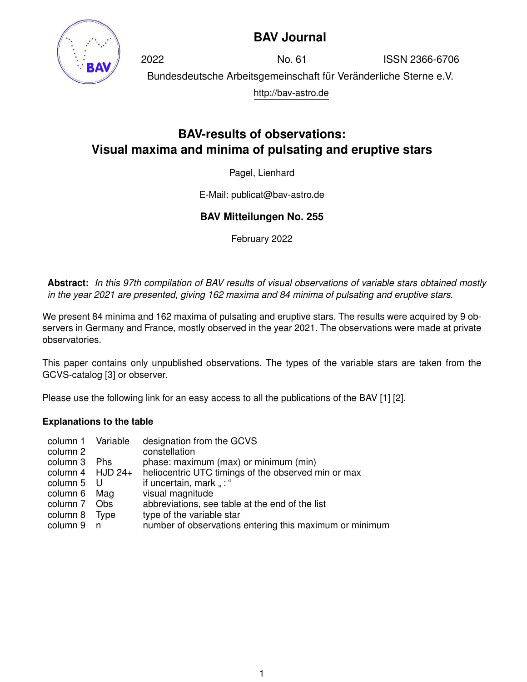

## **BAV Journal**

2022 No. 61 ISSN 2366-6706 Bundesdeutsche Arbeitsgemeinschaft für Veränderliche Sterne e.V. http://bav-astro.de

# **BAV-results of observations: Visual maxima and minima of pulsating and eruptive stars**

Pagel, Lienhard

E-Mail: publicat@bav-astro.de

### **BAV Mitteilungen No. 255**

February 2022

**Abstract:** *In this 97th compilation of BAV results of visual observations of variable stars obtained mostly in the year 2021 are presented, giving 162 maxima and 84 minima of pulsating and eruptive stars.*

We present 84 minima and 162 maxima of pulsating and eruptive stars. The results were acquired by 9 observers in Germany and France, mostly observed in the year 2021. The observations were made at private observatories.

This paper contains only unpublished observations. The types of the variable stars are taken from the GCVS-catalog [3] or observer.

Please use the following link for an easy access to all the publications of the BAV [1] [2].

### **Explanations to the table**

| column 1 Variable  |      | designation from the GCVS                               |
|--------------------|------|---------------------------------------------------------|
| column 2           |      | constellation                                           |
| column 3 Phs       |      | phase: maximum (max) or minimum (min)                   |
| column 4 $HJD 24+$ |      | heliocentric UTC timings of the observed min or max     |
| column 5 U         |      | if uncertain, mark ": "                                 |
| column 6 Mag       |      | visual magnitude                                        |
| column 7 Obs       |      | abbreviations, see table at the end of the list         |
| column 8           | Type | type of the variable star                               |
| column 9           | n n  | number of observations entering this maximum or minimum |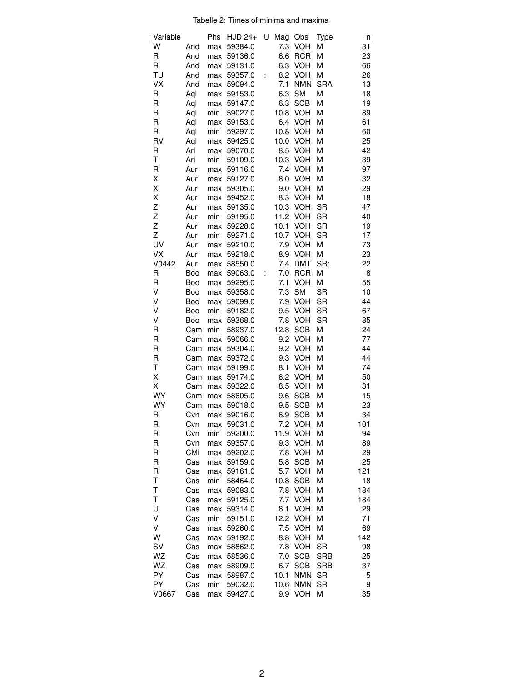Tabelle 2: Times of minima and maxima

| Variable    |            | Phs        | <b>HJD 24+</b>     | U | Mag              | Obs                      | Type                    | n        |
|-------------|------------|------------|--------------------|---|------------------|--------------------------|-------------------------|----------|
| W           | And        | max        | 59384.0            |   | $\overline{7.3}$ | VOH                      | М                       | 31       |
| R           | And        | max        | 59136.0            |   | 6.6              | <b>RCR</b>               | M                       | 23       |
| $\mathsf R$ | And        | max        | 59131.0            |   | 6.3              | <b>VOH</b>               | M                       | 66       |
| TU          | And        | max        | 59357.0            | t | 8.2              | <b>VOH</b>               | M                       | 26       |
| <b>VX</b>   | And        | max        | 59094.0            |   | 7.1              | <b>NMN</b>               | <b>SRA</b>              | 13       |
| R           | Aql        | max        | 59153.0            |   | 6.3              | <b>SM</b>                | M                       | 18       |
| R           | Aql        | max        | 59147.0            |   | 6.3              | <b>SCB</b>               | M                       | 19       |
| R           | Aql        | min        | 59027.0            |   | 10.8             | <b>VOH</b>               | Μ                       | 89       |
| R           | Aql        | max        | 59153.0            |   | 6.4              | <b>VOH</b>               | Μ                       | 61       |
| R           | Aql        | min        | 59297.0            |   | 10.8             | <b>VOH</b>               | Μ                       | 60       |
| RV          | Aql        | max        | 59425.0            |   | 10.0             | <b>VOH</b>               | М                       | 25       |
| R           | Ari        | max        | 59070.0            |   | 8.5              | <b>VOH</b>               | Μ                       | 42       |
| Τ           | Ari        | min        | 59109.0            |   | 10.3             | <b>VOH</b>               | M                       | 39       |
| R           | Aur        | max        | 59116.0            |   | 7.4              | <b>VOH</b>               | M                       | 97       |
| Χ           | Aur        | max        | 59127.0            |   | 8.0              | <b>VOH</b>               | M                       | 32       |
| Χ           | Aur        | max        | 59305.0            |   | 9.0              | <b>VOH</b>               | Μ                       | 29       |
| Χ           | Aur        | max        | 59452.0            |   | 8.3              | <b>VOH</b>               | Μ                       | 18       |
| Z           | Aur        | max        | 59135.0            |   |                  | 10.3 VOH                 | <b>SR</b>               | 47       |
| Z           | Aur        | min        | 59195.0            |   |                  | 11.2 VOH                 | <b>SR</b>               | 40       |
| Z           | Aur        | max        | 59228.0            |   | 10.1             | VOH                      | <b>SR</b>               | 19       |
| Z           | Aur        | min        | 59271.0            |   | 10.7             | <b>VOH</b>               | <b>SR</b>               | 17       |
| UV          | Aur        | max        | 59210.0            |   | 7.9              | <b>VOH</b>               | Μ                       | 73       |
| VX          | Aur        | max        | 59218.0            |   | 8.9              | <b>VOH</b>               | M                       | 23       |
| V0442       | Aur        | max        | 58550.0            |   | 7.4              | <b>DMT</b>               | SR:                     | 22       |
| R           | Boo        | max        | 59063.0            | t | 7.0              | <b>RCR</b>               | M                       | 8        |
| $\mathsf R$ | Boo        | max        | 59295.0            |   | 7.1              | <b>VOH</b>               | M                       | 55       |
| V           | Boo        | max        | 59358.0            |   | 7.3              | <b>SM</b>                | <b>SR</b>               | 10       |
| ٧           | Boo        | max        | 59099.0            |   | 7.9              | <b>VOH</b>               | <b>SR</b>               | 44       |
| V           | Boo        | min        | 59182.0            |   | 9.5              | <b>VOH</b>               | SR                      | 67       |
| V           | Boo        | max        | 59368.0            |   | 7.8              | VOH                      | <b>SR</b>               | 85       |
| $\mathsf R$ | Cam        | min        | 58937.0            |   | 12.8             | <b>SCB</b>               | M                       | 24       |
| R           | Cam        | max        | 59066.0            |   | 9.2              | <b>VOH</b>               | Μ                       | 77       |
| R           | Cam        | max        | 59304.0            |   | 9.2              | VOH                      | Μ                       | 44       |
| R           | Cam        | max        | 59372.0            |   | 9.3              | <b>VOH</b>               | Μ                       | 44       |
| Τ           | Cam        | max        | 59199.0            |   | 8.1              | <b>VOH</b>               | Μ                       | 74       |
| Χ           | Cam        | max        | 59174.0            |   | 8.2              | <b>VOH</b>               | Μ                       | 50       |
| Χ           | Cam        | max        | 59322.0            |   | 8.5              | <b>VOH</b>               | M                       | 31       |
| WY          | Cam        | max        | 58605.0            |   | 9.6              | <b>SCB</b>               | Μ                       | 15       |
| WY          | Cam        | max        | 59018.0            |   | 9.5              | <b>SCB</b>               | Μ                       | 23       |
| R           | Cvn        |            | max 59016.0        |   |                  | 6.9 SCB                  | Μ                       | 34       |
| R           | Cvn        | max        | 59031.0            |   | 7.2              | <b>VOH</b>               | Μ                       | 101      |
| R           | Cvn        | min        | 59200.0            |   | 11.9             | <b>VOH</b>               | Μ                       | 94       |
| R           | Cvn        | max        | 59357.0            |   | 9.3              | <b>VOH</b>               | Μ                       | 89       |
| R           | CMi        | max        | 59202.0            |   | 7.8              | <b>VOH</b>               | Μ                       | 29       |
| R           | Cas        | max        | 59159.0            |   | 5.8              | <b>SCB</b>               | Μ                       | 25       |
| R           | Cas        | max        | 59161.0            |   | 5.7              | <b>VOH</b>               | М                       | 121      |
| Τ           | Cas        | min        | 58464.0            |   | 10.8             | <b>SCB</b>               | M                       | 18       |
| T           | Cas        | max        | 59083.0            |   | 7.8              | <b>VOH</b>               | Μ                       | 184      |
| T           | Cas        | max        | 59125.0            |   | 7.7              | <b>VOH</b>               | Μ                       | 184      |
| U           | Cas        | max        | 59314.0            |   | 8.1              | <b>VOH</b>               | Μ                       | 29       |
| V           | Cas        | min        | 59151.0            |   | 12.2             | <b>VOH</b>               | M                       | 71       |
| Λ           | Cas        | max        | 59260.0            |   | 7.5              | <b>VOH</b>               | Μ                       | 69       |
| W           | Cas        | max        | 59192.0            |   | 8.8<br>7.8       | <b>VOH</b>               | M                       | 142      |
| SV<br>WZ    | Cas        | max        | 58862.0            |   | 7.0              | <b>VOH</b><br><b>SCB</b> | <b>SR</b><br><b>SRB</b> | 98<br>25 |
| WZ          | Cas        | max        | 58536.0            |   |                  | <b>SCB</b>               | <b>SRB</b>              |          |
| PY          | Cas        | max        | 58909.0            |   | 6.7              |                          |                         | 37       |
| PY          | Cas<br>Cas | max<br>min | 58987.0<br>59032.0 |   | 10.1<br>10.6     | <b>NMN</b><br><b>NMN</b> | <b>SR</b><br><b>SR</b>  | 5<br>9   |
| V0667       | Cas        | max        | 59427.0            |   | 9.9              | <b>VOH</b>               | М                       | 35       |
|             |            |            |                    |   |                  |                          |                         |          |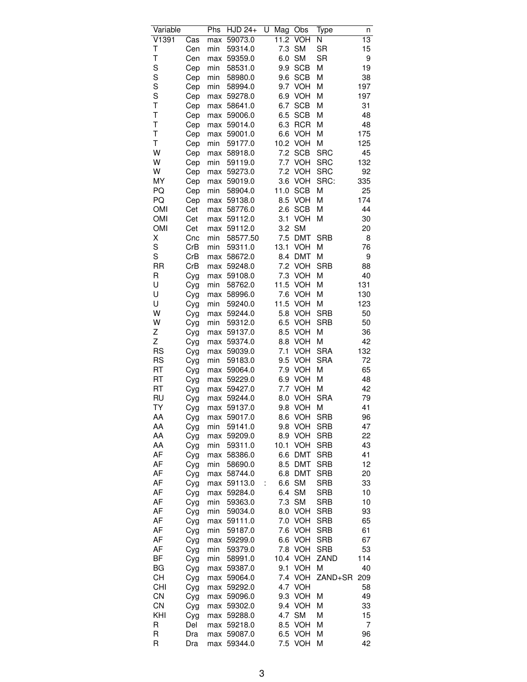| Variable   |     | $\overline{\mathsf{Phs}}$ | <b>HJD 24+</b> | U | Mag  | Obs        | Type       | n               |
|------------|-----|---------------------------|----------------|---|------|------------|------------|-----------------|
| V1391      | Cas | max                       | 59073.0        |   | 11.2 | <b>VOH</b> | Ν          | $\overline{13}$ |
| Τ          | Cen | min                       | 59314.0        |   | 7.3  | <b>SM</b>  | <b>SR</b>  | 15              |
| T          | Cen | max                       | 59359.0        |   | 6.0  | <b>SM</b>  | <b>SR</b>  | 9               |
| S          | Cep | min                       | 58531.0        |   | 9.9  | <b>SCB</b> | Μ          | 19              |
| S          | Cep | min                       | 58980.0        |   | 9.6  | <b>SCB</b> | М          | 38              |
| S          | Cep | min                       | 58994.0        |   | 9.7  | <b>VOH</b> | М          | 197             |
| S          | Cep | max                       | 59278.0        |   | 6.9  | <b>VOH</b> | М          | 197             |
| T          | Cep | max                       | 58641.0        |   | 6.7  | <b>SCB</b> | М          | 31              |
| T          | Cep | max                       | 59006.0        |   | 6.5  | <b>SCB</b> | M          | 48              |
| T          | Cep | max                       | 59014.0        |   | 6.3  | <b>RCR</b> | M          | 48              |
| T          | Cep | max                       | 59001.0        |   | 6.6  | <b>VOH</b> | М          | 175             |
| T          | Cep | min                       | 59177.0        |   | 10.2 | <b>VOH</b> | М          | 125             |
| W          | Cep | max                       | 58918.0        |   | 7.2  | <b>SCB</b> | <b>SRC</b> | 45              |
| W          | Cep | min                       | 59119.0        |   | 7.7  | VOH        | <b>SRC</b> | 132             |
| W          | Cep | max                       | 59273.0        |   | 7.2  | <b>VOH</b> | <b>SRC</b> | 92              |
| MY         | Cep | max                       | 59019.0        |   | 3.6  | <b>VOH</b> | SRC:       | 335             |
| PQ         | Cep | min                       | 58904.0        |   | 11.0 | <b>SCB</b> | М          | 25              |
| PQ         | Cep | max                       | 59138.0        |   | 8.5  | <b>VOH</b> | М          | 174             |
| <b>OMI</b> | Cet | max                       | 58776.0        |   | 2.6  | <b>SCB</b> | М          | 44              |
| <b>OMI</b> | Cet | max                       | 59112.0        |   | 3.1  | VOH        | M          | 30              |
| <b>OMI</b> | Cet | max                       | 59112.0        |   | 3.2  | <b>SM</b>  |            | 20              |
| Χ          | Cnc | min                       | 58577.50       |   | 7.5  | <b>DMT</b> | <b>SRB</b> | 8               |
| S          | CrB | min                       | 59311.0        |   | 13.1 | VOH        | М          | 76              |
| S          | CrB | max                       | 58672.0        |   | 8.4  | <b>DMT</b> | М          | 9               |
| <b>RR</b>  | CrB | max                       | 59248.0        |   | 7.2  | VOH        | <b>SRB</b> | 88              |
| R          | Cyg | max                       | 59108.0        |   | 7.3  | <b>VOH</b> | М          | 40              |
| U          | Cyg | min                       | 58762.0        |   | 11.5 | <b>VOH</b> | M          | 131             |
| U          | Cyg | max                       | 58996.0        |   | 7.6  | VOH        | M          | 130             |
| U          | Cyg | min                       | 59240.0        |   | 11.5 | <b>VOH</b> | М          | 123             |
| W          | Cyg | max                       | 59244.0        |   | 5.8  | <b>VOH</b> | <b>SRB</b> | 50              |
| W          | Cyg | min                       | 59312.0        |   | 6.5  | <b>VOH</b> | <b>SRB</b> | 50              |
| Ζ          | Cyg | max                       | 59137.0        |   | 8.5  | <b>VOH</b> | M          | 36              |
| Z          | Cyg | max                       | 59374.0        |   | 8.8  | <b>VOH</b> | M          | 42              |
| <b>RS</b>  | Cyg | max                       | 59039.0        |   | 7.1  | <b>VOH</b> | <b>SRA</b> | 132             |
| <b>RS</b>  | Cyg | min                       | 59183.0        |   | 9.5  | <b>VOH</b> | <b>SRA</b> | 72              |
| RT         | Cyg | max                       | 59064.0        |   | 7.9  | <b>VOH</b> | М          | 65              |
| RT         | Cyg | max                       | 59229.0        |   | 6.9  | <b>VOH</b> | M          | 48              |
| RT         | Cyg | max                       | 59427.0        |   | 7.7  | <b>VOH</b> | M          | 42              |
| <b>RU</b>  | Cyg | max                       | 59244.0        |   | 8.0  | <b>VOH</b> | <b>SRA</b> | 79              |
| TY         | Cyg | max                       | 59137.0        |   |      | 9.8 VOH    | М          | 41              |
| AA         | Cyg | max                       | 59017.0        |   |      | 8.6 VOH    | <b>SRB</b> | 96              |
| AA         | Cyg | min                       | 59141.0        |   | 9.8  | <b>VOH</b> | <b>SRB</b> | 47              |
| AA         | Cyg | max                       | 59209.0        |   | 8.9  | VOH        | <b>SRB</b> | 22              |
| AA         | Cyg | min                       | 59311.0        |   | 10.1 | <b>VOH</b> | <b>SRB</b> | 43              |
| AF         | Cyg | max                       | 58386.0        |   | 6.6  | <b>DMT</b> | <b>SRB</b> | 41              |
| AF         | Cyg | min                       | 58690.0        |   | 8.5  | <b>DMT</b> | <b>SRB</b> | 12              |
| AF         | Cyg | max                       | 58744.0        |   | 6.8  | <b>DMT</b> | <b>SRB</b> | 20              |
| AF         | Cyg | max                       | 59113.0        |   | 6.6  | <b>SM</b>  | <b>SRB</b> | 33              |
| AF         | Cyg | max                       | 59284.0        |   | 6.4  | <b>SM</b>  | <b>SRB</b> | 10              |
| AF         | Cyg | min                       | 59363.0        |   | 7.3  | <b>SM</b>  | <b>SRB</b> | 10              |
| AF         | Cyg | min                       | 59034.0        |   | 8.0  | <b>VOH</b> | <b>SRB</b> | 93              |
| AF         | Cyg | max                       | 59111.0        |   | 7.0  | <b>VOH</b> | <b>SRB</b> | 65              |
| AF         | Cyg | min                       | 59187.0        |   | 7.6  | <b>VOH</b> | <b>SRB</b> | 61              |
| AF         | Cyg | max                       | 59299.0        |   | 6.6  | <b>VOH</b> | <b>SRB</b> | 67              |
| AF         | Cyg | min                       | 59379.0        |   | 7.8  | <b>VOH</b> | <b>SRB</b> | 53              |
| ΒF         | Cyg | min                       | 58991.0        |   | 10.4 | <b>VOH</b> | ZAND       | 114             |
| <b>BG</b>  | Cyg | max                       | 59387.0        |   | 9.1  | <b>VOH</b> | М          | 40              |
| CН         | Cyg | max                       | 59064.0        |   | 7.4  | <b>VOH</b> | ZAND+SR    | 209             |
| <b>CHI</b> | Cyg | max                       | 59292.0        |   |      | 4.7 VOH    |            | 58              |
| CN         | Cyg | max                       | 59096.0        |   | 9.3  | <b>VOH</b> | M          | 49              |
| CN         | Cyg | max                       | 59302.0        |   | 9.4  | <b>VOH</b> | M          | 33              |
| KHI        | Cyg | max                       | 59288.0        |   | 4.7  | <b>SM</b>  | M          | 15              |
| R          | Del | max                       | 59218.0        |   | 8.5  | <b>VOH</b> | Μ          | 7               |
| R          | Dra | max                       | 59087.0        |   | 6.5  | <b>VOH</b> | Μ          | 96              |
| R          | Dra | max                       | 59344.0        |   | 7.5  | <b>VOH</b> | M          | 42              |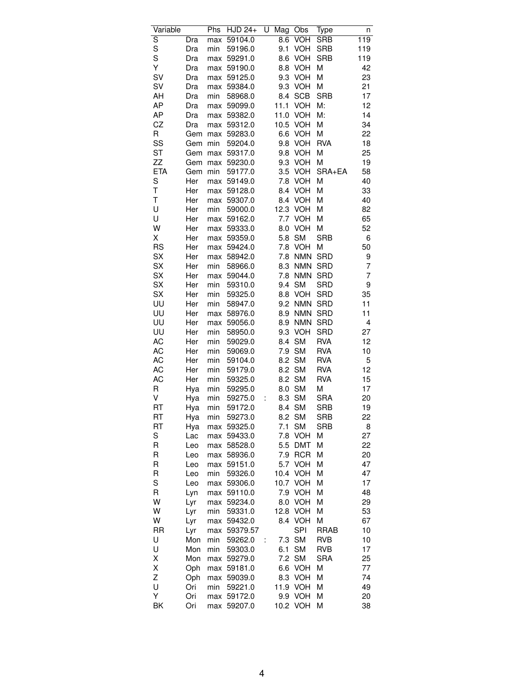| S<br>59104.0<br>8.6<br><b>VOH</b><br><b>SRB</b><br>119<br>Dra<br>max<br>S<br>VOH<br>59196.0<br>9.1<br><b>SRB</b><br>119<br>Dra<br>min<br>S<br><b>VOH</b><br><b>SRB</b><br>59291.0<br>8.6<br>119<br>Dra<br>max<br>Υ<br><b>VOH</b><br>M<br>42<br>Dra<br>59190.0<br>8.8<br>max<br><b>SV</b><br>9.3<br><b>VOH</b><br>M<br>23<br>Dra<br>59125.0<br>max<br>SV<br>9.3<br><b>VOH</b><br>M<br>21<br>Dra<br>59384.0<br>max<br>AH<br><b>SCB</b><br><b>SRB</b><br>17<br>min<br>58968.0<br>8.4<br>Dra<br>AP<br><b>VOH</b><br>M:<br>12<br>59099.0<br>11.1<br>Dra<br>max<br>AP<br>14<br>11.0<br><b>VOH</b><br>M:<br>Dra<br>59382.0<br>max<br>CZ<br><b>VOH</b><br>Μ<br>34<br>Dra<br>59312.0<br>10.5<br>max<br>R<br><b>VOH</b><br>M<br>22<br>Gem<br>59283.0<br>6.6<br>max<br>SS<br><b>VOH</b><br><b>RVA</b><br>59204.0<br>9.8<br>18<br>Gem<br>min<br><b>ST</b><br>VOH<br>M<br>25<br>59317.0<br>9.8<br>Gem<br>max<br>ZZ<br><b>VOH</b><br>19<br>59230.0<br>9.3<br>Μ<br>Gem<br>max<br><b>ETA</b><br>58<br>3.5<br><b>VOH</b><br>SRA+EA<br>Gem<br>min<br>59177.0<br>S<br>40<br>Her<br>59149.0<br>7.8<br><b>VOH</b><br>M<br>max<br>T<br>59128.0<br>8.4<br><b>VOH</b><br>Μ<br>Her<br>33<br>max<br>T<br>40<br>59307.0<br>8.4<br><b>VOH</b><br>Μ<br>Her<br>max<br>U<br>12.3<br>VOH<br>Her<br>M<br>82<br>min<br>59000.0<br>U<br><b>VOH</b><br>65<br>Her<br>59162.0<br>7.7<br>M<br>max<br>W<br>Her<br>59333.0<br>8.0<br><b>VOH</b><br>M<br>52<br>max<br>Χ<br>Her<br>59359.0<br><b>SM</b><br><b>SRB</b><br>5.8<br>6<br>max<br><b>RS</b><br>Her<br><b>VOH</b><br>M<br>50<br>59424.0<br>7.8<br>max<br>SX<br><b>SRD</b><br>Her<br>7.8<br><b>NMN</b><br>9<br>58942.0<br>max<br>SX<br>8.3<br><b>NMN</b><br>SRD<br>7<br>Her<br>min<br>58966.0<br>SX<br><b>SRD</b><br>7<br>Her<br>59044.0<br>7.8<br><b>NMN</b><br>max<br>SX<br>9.4<br><b>SM</b><br><b>SRD</b><br>9<br>Her<br>min<br>59310.0<br>SX<br>8.8<br><b>VOH</b><br><b>SRD</b><br>35<br>Her<br>min<br>59325.0<br>UU<br><b>NMN</b><br><b>SRD</b><br>Her<br>58947.0<br>9.2<br>11<br>min<br>UU<br><b>SRD</b><br>Her<br>58976.0<br>8.9<br><b>NMN</b><br>11<br>max<br>UU<br><b>SRD</b><br>4<br>Her<br>59056.0<br>8.9<br><b>NMN</b><br>max<br>UU<br>27<br>58950.0<br>9.3<br><b>VOH</b><br><b>SRD</b><br>Her<br>min<br>AC<br>Her<br><b>SM</b><br><b>RVA</b><br>12<br>min<br>59029.0<br>8.4<br>SM<br>AC<br>7.9<br><b>RVA</b><br>10<br>Her<br>min<br>59069.0<br>AC<br><b>SM</b><br>min<br>59104.0<br>8.2<br><b>RVA</b><br>5<br>Her<br><b>SM</b><br>12<br>AC<br>Her<br>59179.0<br>8.2<br><b>RVA</b><br>min<br><b>SM</b><br>AC<br>59325.0<br>8.2<br><b>RVA</b><br>15<br>Her<br>min<br><b>SM</b><br>M<br>R<br>59295.0<br>8.0<br>17<br>Hya<br>min<br>V<br><b>SM</b><br><b>SRA</b><br>20<br>59275.0<br>8.3<br>Hya<br>min<br>t<br>RT<br><b>SM</b><br><b>SRB</b><br>19<br>59172.0<br>8.4<br>Hya<br>min<br>8.2 SM<br>RT<br>Hya<br>59273.0<br>SRB<br>22<br>min<br>RT<br>7.1<br><b>SM</b><br><b>SRB</b><br>Hya<br>59325.0<br>8<br>max<br>S<br>7.8<br><b>VOH</b><br>М<br>27<br>59433.0<br>Lac<br>max<br><b>DMT</b><br>Μ<br>22<br>R<br>58528.0<br>5.5<br>Leo<br>max<br>R<br><b>RCR</b><br>Μ<br>20<br>58936.0<br>7.9<br>Leo<br>max<br>R<br><b>VOH</b><br>47<br>59151.0<br>5.7<br>Μ<br>Leo<br>max<br>R<br>10.4<br><b>VOH</b><br>Μ<br>47<br>min<br>59326.0<br>Leo<br>S<br>10.7<br><b>VOH</b><br>Μ<br>17<br>59306.0<br>Leo<br>max<br>R<br>7.9<br><b>VOH</b><br>48<br>59110.0<br>М<br>Lyn<br>max<br>W<br>Μ<br>Lyr<br>59234.0<br>8.0<br>VOH<br>29<br>max<br>W<br>53<br>59331.0<br>12.8<br><b>VOH</b><br>Μ<br>Lyr<br>min<br>W<br><b>VOH</b><br>M<br>67<br>Lyr<br>59432.0<br>8.4<br>max<br><b>SPI</b><br><b>RR</b><br><b>RRAB</b><br>10<br>Lyr<br>59379.57<br>max<br>U<br><b>SM</b><br>Mon<br>7.3<br><b>RVB</b><br>min<br>59262.0<br>10<br>t<br>U<br><b>SM</b><br>Mon<br>min<br>59303.0<br>6.1<br>RVB<br>17<br>Χ<br><b>SM</b><br><b>SRA</b><br>25<br>Mon<br>59279.0<br>7.2<br>max<br>Χ<br><b>VOH</b><br>77<br>Oph<br>59181.0<br>6.6<br>М<br>max<br>Z<br><b>VOH</b><br>Μ<br>74<br>Oph<br>59039.0<br>8.3<br>max<br>U<br>11.9<br>VOH<br>Μ<br>49<br>Ori<br>min<br>59221.0<br>Υ<br><b>VOH</b><br>Ori<br>59172.0<br>9.9<br>Μ<br>20<br>max<br>BK<br>10.2 VOH<br>38<br>Ori<br>59207.0<br>Μ<br>max | Variable | Phs | <b>HJD 24+</b> | U | Mag | Obs | Type | n |
|--------------------------------------------------------------------------------------------------------------------------------------------------------------------------------------------------------------------------------------------------------------------------------------------------------------------------------------------------------------------------------------------------------------------------------------------------------------------------------------------------------------------------------------------------------------------------------------------------------------------------------------------------------------------------------------------------------------------------------------------------------------------------------------------------------------------------------------------------------------------------------------------------------------------------------------------------------------------------------------------------------------------------------------------------------------------------------------------------------------------------------------------------------------------------------------------------------------------------------------------------------------------------------------------------------------------------------------------------------------------------------------------------------------------------------------------------------------------------------------------------------------------------------------------------------------------------------------------------------------------------------------------------------------------------------------------------------------------------------------------------------------------------------------------------------------------------------------------------------------------------------------------------------------------------------------------------------------------------------------------------------------------------------------------------------------------------------------------------------------------------------------------------------------------------------------------------------------------------------------------------------------------------------------------------------------------------------------------------------------------------------------------------------------------------------------------------------------------------------------------------------------------------------------------------------------------------------------------------------------------------------------------------------------------------------------------------------------------------------------------------------------------------------------------------------------------------------------------------------------------------------------------------------------------------------------------------------------------------------------------------------------------------------------------------------------------------------------------------------------------------------------------------------------------------------------------------------------------------------------------------------------------------------------------------------------------------------------------------------------------------------------------------------------------------------------------------------------------------------------------------------------------------------------------------------------------------------------------------------------------------------------------------------------------------------------------------------------------------------------------------------------------------------------------------------------------------------------------------------------------------------------------------------------------------------------------------------------------------------------------------------------------------------------------------------------------------------------------------------------------------------------------------------------------------------|----------|-----|----------------|---|-----|-----|------|---|
|                                                                                                                                                                                                                                                                                                                                                                                                                                                                                                                                                                                                                                                                                                                                                                                                                                                                                                                                                                                                                                                                                                                                                                                                                                                                                                                                                                                                                                                                                                                                                                                                                                                                                                                                                                                                                                                                                                                                                                                                                                                                                                                                                                                                                                                                                                                                                                                                                                                                                                                                                                                                                                                                                                                                                                                                                                                                                                                                                                                                                                                                                                                                                                                                                                                                                                                                                                                                                                                                                                                                                                                                                                                                                                                                                                                                                                                                                                                                                                                                                                                                                                                                                                                |          |     |                |   |     |     |      |   |
|                                                                                                                                                                                                                                                                                                                                                                                                                                                                                                                                                                                                                                                                                                                                                                                                                                                                                                                                                                                                                                                                                                                                                                                                                                                                                                                                                                                                                                                                                                                                                                                                                                                                                                                                                                                                                                                                                                                                                                                                                                                                                                                                                                                                                                                                                                                                                                                                                                                                                                                                                                                                                                                                                                                                                                                                                                                                                                                                                                                                                                                                                                                                                                                                                                                                                                                                                                                                                                                                                                                                                                                                                                                                                                                                                                                                                                                                                                                                                                                                                                                                                                                                                                                |          |     |                |   |     |     |      |   |
|                                                                                                                                                                                                                                                                                                                                                                                                                                                                                                                                                                                                                                                                                                                                                                                                                                                                                                                                                                                                                                                                                                                                                                                                                                                                                                                                                                                                                                                                                                                                                                                                                                                                                                                                                                                                                                                                                                                                                                                                                                                                                                                                                                                                                                                                                                                                                                                                                                                                                                                                                                                                                                                                                                                                                                                                                                                                                                                                                                                                                                                                                                                                                                                                                                                                                                                                                                                                                                                                                                                                                                                                                                                                                                                                                                                                                                                                                                                                                                                                                                                                                                                                                                                |          |     |                |   |     |     |      |   |
|                                                                                                                                                                                                                                                                                                                                                                                                                                                                                                                                                                                                                                                                                                                                                                                                                                                                                                                                                                                                                                                                                                                                                                                                                                                                                                                                                                                                                                                                                                                                                                                                                                                                                                                                                                                                                                                                                                                                                                                                                                                                                                                                                                                                                                                                                                                                                                                                                                                                                                                                                                                                                                                                                                                                                                                                                                                                                                                                                                                                                                                                                                                                                                                                                                                                                                                                                                                                                                                                                                                                                                                                                                                                                                                                                                                                                                                                                                                                                                                                                                                                                                                                                                                |          |     |                |   |     |     |      |   |
|                                                                                                                                                                                                                                                                                                                                                                                                                                                                                                                                                                                                                                                                                                                                                                                                                                                                                                                                                                                                                                                                                                                                                                                                                                                                                                                                                                                                                                                                                                                                                                                                                                                                                                                                                                                                                                                                                                                                                                                                                                                                                                                                                                                                                                                                                                                                                                                                                                                                                                                                                                                                                                                                                                                                                                                                                                                                                                                                                                                                                                                                                                                                                                                                                                                                                                                                                                                                                                                                                                                                                                                                                                                                                                                                                                                                                                                                                                                                                                                                                                                                                                                                                                                |          |     |                |   |     |     |      |   |
|                                                                                                                                                                                                                                                                                                                                                                                                                                                                                                                                                                                                                                                                                                                                                                                                                                                                                                                                                                                                                                                                                                                                                                                                                                                                                                                                                                                                                                                                                                                                                                                                                                                                                                                                                                                                                                                                                                                                                                                                                                                                                                                                                                                                                                                                                                                                                                                                                                                                                                                                                                                                                                                                                                                                                                                                                                                                                                                                                                                                                                                                                                                                                                                                                                                                                                                                                                                                                                                                                                                                                                                                                                                                                                                                                                                                                                                                                                                                                                                                                                                                                                                                                                                |          |     |                |   |     |     |      |   |
|                                                                                                                                                                                                                                                                                                                                                                                                                                                                                                                                                                                                                                                                                                                                                                                                                                                                                                                                                                                                                                                                                                                                                                                                                                                                                                                                                                                                                                                                                                                                                                                                                                                                                                                                                                                                                                                                                                                                                                                                                                                                                                                                                                                                                                                                                                                                                                                                                                                                                                                                                                                                                                                                                                                                                                                                                                                                                                                                                                                                                                                                                                                                                                                                                                                                                                                                                                                                                                                                                                                                                                                                                                                                                                                                                                                                                                                                                                                                                                                                                                                                                                                                                                                |          |     |                |   |     |     |      |   |
|                                                                                                                                                                                                                                                                                                                                                                                                                                                                                                                                                                                                                                                                                                                                                                                                                                                                                                                                                                                                                                                                                                                                                                                                                                                                                                                                                                                                                                                                                                                                                                                                                                                                                                                                                                                                                                                                                                                                                                                                                                                                                                                                                                                                                                                                                                                                                                                                                                                                                                                                                                                                                                                                                                                                                                                                                                                                                                                                                                                                                                                                                                                                                                                                                                                                                                                                                                                                                                                                                                                                                                                                                                                                                                                                                                                                                                                                                                                                                                                                                                                                                                                                                                                |          |     |                |   |     |     |      |   |
|                                                                                                                                                                                                                                                                                                                                                                                                                                                                                                                                                                                                                                                                                                                                                                                                                                                                                                                                                                                                                                                                                                                                                                                                                                                                                                                                                                                                                                                                                                                                                                                                                                                                                                                                                                                                                                                                                                                                                                                                                                                                                                                                                                                                                                                                                                                                                                                                                                                                                                                                                                                                                                                                                                                                                                                                                                                                                                                                                                                                                                                                                                                                                                                                                                                                                                                                                                                                                                                                                                                                                                                                                                                                                                                                                                                                                                                                                                                                                                                                                                                                                                                                                                                |          |     |                |   |     |     |      |   |
|                                                                                                                                                                                                                                                                                                                                                                                                                                                                                                                                                                                                                                                                                                                                                                                                                                                                                                                                                                                                                                                                                                                                                                                                                                                                                                                                                                                                                                                                                                                                                                                                                                                                                                                                                                                                                                                                                                                                                                                                                                                                                                                                                                                                                                                                                                                                                                                                                                                                                                                                                                                                                                                                                                                                                                                                                                                                                                                                                                                                                                                                                                                                                                                                                                                                                                                                                                                                                                                                                                                                                                                                                                                                                                                                                                                                                                                                                                                                                                                                                                                                                                                                                                                |          |     |                |   |     |     |      |   |
|                                                                                                                                                                                                                                                                                                                                                                                                                                                                                                                                                                                                                                                                                                                                                                                                                                                                                                                                                                                                                                                                                                                                                                                                                                                                                                                                                                                                                                                                                                                                                                                                                                                                                                                                                                                                                                                                                                                                                                                                                                                                                                                                                                                                                                                                                                                                                                                                                                                                                                                                                                                                                                                                                                                                                                                                                                                                                                                                                                                                                                                                                                                                                                                                                                                                                                                                                                                                                                                                                                                                                                                                                                                                                                                                                                                                                                                                                                                                                                                                                                                                                                                                                                                |          |     |                |   |     |     |      |   |
|                                                                                                                                                                                                                                                                                                                                                                                                                                                                                                                                                                                                                                                                                                                                                                                                                                                                                                                                                                                                                                                                                                                                                                                                                                                                                                                                                                                                                                                                                                                                                                                                                                                                                                                                                                                                                                                                                                                                                                                                                                                                                                                                                                                                                                                                                                                                                                                                                                                                                                                                                                                                                                                                                                                                                                                                                                                                                                                                                                                                                                                                                                                                                                                                                                                                                                                                                                                                                                                                                                                                                                                                                                                                                                                                                                                                                                                                                                                                                                                                                                                                                                                                                                                |          |     |                |   |     |     |      |   |
|                                                                                                                                                                                                                                                                                                                                                                                                                                                                                                                                                                                                                                                                                                                                                                                                                                                                                                                                                                                                                                                                                                                                                                                                                                                                                                                                                                                                                                                                                                                                                                                                                                                                                                                                                                                                                                                                                                                                                                                                                                                                                                                                                                                                                                                                                                                                                                                                                                                                                                                                                                                                                                                                                                                                                                                                                                                                                                                                                                                                                                                                                                                                                                                                                                                                                                                                                                                                                                                                                                                                                                                                                                                                                                                                                                                                                                                                                                                                                                                                                                                                                                                                                                                |          |     |                |   |     |     |      |   |
|                                                                                                                                                                                                                                                                                                                                                                                                                                                                                                                                                                                                                                                                                                                                                                                                                                                                                                                                                                                                                                                                                                                                                                                                                                                                                                                                                                                                                                                                                                                                                                                                                                                                                                                                                                                                                                                                                                                                                                                                                                                                                                                                                                                                                                                                                                                                                                                                                                                                                                                                                                                                                                                                                                                                                                                                                                                                                                                                                                                                                                                                                                                                                                                                                                                                                                                                                                                                                                                                                                                                                                                                                                                                                                                                                                                                                                                                                                                                                                                                                                                                                                                                                                                |          |     |                |   |     |     |      |   |
|                                                                                                                                                                                                                                                                                                                                                                                                                                                                                                                                                                                                                                                                                                                                                                                                                                                                                                                                                                                                                                                                                                                                                                                                                                                                                                                                                                                                                                                                                                                                                                                                                                                                                                                                                                                                                                                                                                                                                                                                                                                                                                                                                                                                                                                                                                                                                                                                                                                                                                                                                                                                                                                                                                                                                                                                                                                                                                                                                                                                                                                                                                                                                                                                                                                                                                                                                                                                                                                                                                                                                                                                                                                                                                                                                                                                                                                                                                                                                                                                                                                                                                                                                                                |          |     |                |   |     |     |      |   |
|                                                                                                                                                                                                                                                                                                                                                                                                                                                                                                                                                                                                                                                                                                                                                                                                                                                                                                                                                                                                                                                                                                                                                                                                                                                                                                                                                                                                                                                                                                                                                                                                                                                                                                                                                                                                                                                                                                                                                                                                                                                                                                                                                                                                                                                                                                                                                                                                                                                                                                                                                                                                                                                                                                                                                                                                                                                                                                                                                                                                                                                                                                                                                                                                                                                                                                                                                                                                                                                                                                                                                                                                                                                                                                                                                                                                                                                                                                                                                                                                                                                                                                                                                                                |          |     |                |   |     |     |      |   |
|                                                                                                                                                                                                                                                                                                                                                                                                                                                                                                                                                                                                                                                                                                                                                                                                                                                                                                                                                                                                                                                                                                                                                                                                                                                                                                                                                                                                                                                                                                                                                                                                                                                                                                                                                                                                                                                                                                                                                                                                                                                                                                                                                                                                                                                                                                                                                                                                                                                                                                                                                                                                                                                                                                                                                                                                                                                                                                                                                                                                                                                                                                                                                                                                                                                                                                                                                                                                                                                                                                                                                                                                                                                                                                                                                                                                                                                                                                                                                                                                                                                                                                                                                                                |          |     |                |   |     |     |      |   |
|                                                                                                                                                                                                                                                                                                                                                                                                                                                                                                                                                                                                                                                                                                                                                                                                                                                                                                                                                                                                                                                                                                                                                                                                                                                                                                                                                                                                                                                                                                                                                                                                                                                                                                                                                                                                                                                                                                                                                                                                                                                                                                                                                                                                                                                                                                                                                                                                                                                                                                                                                                                                                                                                                                                                                                                                                                                                                                                                                                                                                                                                                                                                                                                                                                                                                                                                                                                                                                                                                                                                                                                                                                                                                                                                                                                                                                                                                                                                                                                                                                                                                                                                                                                |          |     |                |   |     |     |      |   |
|                                                                                                                                                                                                                                                                                                                                                                                                                                                                                                                                                                                                                                                                                                                                                                                                                                                                                                                                                                                                                                                                                                                                                                                                                                                                                                                                                                                                                                                                                                                                                                                                                                                                                                                                                                                                                                                                                                                                                                                                                                                                                                                                                                                                                                                                                                                                                                                                                                                                                                                                                                                                                                                                                                                                                                                                                                                                                                                                                                                                                                                                                                                                                                                                                                                                                                                                                                                                                                                                                                                                                                                                                                                                                                                                                                                                                                                                                                                                                                                                                                                                                                                                                                                |          |     |                |   |     |     |      |   |
|                                                                                                                                                                                                                                                                                                                                                                                                                                                                                                                                                                                                                                                                                                                                                                                                                                                                                                                                                                                                                                                                                                                                                                                                                                                                                                                                                                                                                                                                                                                                                                                                                                                                                                                                                                                                                                                                                                                                                                                                                                                                                                                                                                                                                                                                                                                                                                                                                                                                                                                                                                                                                                                                                                                                                                                                                                                                                                                                                                                                                                                                                                                                                                                                                                                                                                                                                                                                                                                                                                                                                                                                                                                                                                                                                                                                                                                                                                                                                                                                                                                                                                                                                                                |          |     |                |   |     |     |      |   |
|                                                                                                                                                                                                                                                                                                                                                                                                                                                                                                                                                                                                                                                                                                                                                                                                                                                                                                                                                                                                                                                                                                                                                                                                                                                                                                                                                                                                                                                                                                                                                                                                                                                                                                                                                                                                                                                                                                                                                                                                                                                                                                                                                                                                                                                                                                                                                                                                                                                                                                                                                                                                                                                                                                                                                                                                                                                                                                                                                                                                                                                                                                                                                                                                                                                                                                                                                                                                                                                                                                                                                                                                                                                                                                                                                                                                                                                                                                                                                                                                                                                                                                                                                                                |          |     |                |   |     |     |      |   |
|                                                                                                                                                                                                                                                                                                                                                                                                                                                                                                                                                                                                                                                                                                                                                                                                                                                                                                                                                                                                                                                                                                                                                                                                                                                                                                                                                                                                                                                                                                                                                                                                                                                                                                                                                                                                                                                                                                                                                                                                                                                                                                                                                                                                                                                                                                                                                                                                                                                                                                                                                                                                                                                                                                                                                                                                                                                                                                                                                                                                                                                                                                                                                                                                                                                                                                                                                                                                                                                                                                                                                                                                                                                                                                                                                                                                                                                                                                                                                                                                                                                                                                                                                                                |          |     |                |   |     |     |      |   |
|                                                                                                                                                                                                                                                                                                                                                                                                                                                                                                                                                                                                                                                                                                                                                                                                                                                                                                                                                                                                                                                                                                                                                                                                                                                                                                                                                                                                                                                                                                                                                                                                                                                                                                                                                                                                                                                                                                                                                                                                                                                                                                                                                                                                                                                                                                                                                                                                                                                                                                                                                                                                                                                                                                                                                                                                                                                                                                                                                                                                                                                                                                                                                                                                                                                                                                                                                                                                                                                                                                                                                                                                                                                                                                                                                                                                                                                                                                                                                                                                                                                                                                                                                                                |          |     |                |   |     |     |      |   |
|                                                                                                                                                                                                                                                                                                                                                                                                                                                                                                                                                                                                                                                                                                                                                                                                                                                                                                                                                                                                                                                                                                                                                                                                                                                                                                                                                                                                                                                                                                                                                                                                                                                                                                                                                                                                                                                                                                                                                                                                                                                                                                                                                                                                                                                                                                                                                                                                                                                                                                                                                                                                                                                                                                                                                                                                                                                                                                                                                                                                                                                                                                                                                                                                                                                                                                                                                                                                                                                                                                                                                                                                                                                                                                                                                                                                                                                                                                                                                                                                                                                                                                                                                                                |          |     |                |   |     |     |      |   |
|                                                                                                                                                                                                                                                                                                                                                                                                                                                                                                                                                                                                                                                                                                                                                                                                                                                                                                                                                                                                                                                                                                                                                                                                                                                                                                                                                                                                                                                                                                                                                                                                                                                                                                                                                                                                                                                                                                                                                                                                                                                                                                                                                                                                                                                                                                                                                                                                                                                                                                                                                                                                                                                                                                                                                                                                                                                                                                                                                                                                                                                                                                                                                                                                                                                                                                                                                                                                                                                                                                                                                                                                                                                                                                                                                                                                                                                                                                                                                                                                                                                                                                                                                                                |          |     |                |   |     |     |      |   |
|                                                                                                                                                                                                                                                                                                                                                                                                                                                                                                                                                                                                                                                                                                                                                                                                                                                                                                                                                                                                                                                                                                                                                                                                                                                                                                                                                                                                                                                                                                                                                                                                                                                                                                                                                                                                                                                                                                                                                                                                                                                                                                                                                                                                                                                                                                                                                                                                                                                                                                                                                                                                                                                                                                                                                                                                                                                                                                                                                                                                                                                                                                                                                                                                                                                                                                                                                                                                                                                                                                                                                                                                                                                                                                                                                                                                                                                                                                                                                                                                                                                                                                                                                                                |          |     |                |   |     |     |      |   |
|                                                                                                                                                                                                                                                                                                                                                                                                                                                                                                                                                                                                                                                                                                                                                                                                                                                                                                                                                                                                                                                                                                                                                                                                                                                                                                                                                                                                                                                                                                                                                                                                                                                                                                                                                                                                                                                                                                                                                                                                                                                                                                                                                                                                                                                                                                                                                                                                                                                                                                                                                                                                                                                                                                                                                                                                                                                                                                                                                                                                                                                                                                                                                                                                                                                                                                                                                                                                                                                                                                                                                                                                                                                                                                                                                                                                                                                                                                                                                                                                                                                                                                                                                                                |          |     |                |   |     |     |      |   |
|                                                                                                                                                                                                                                                                                                                                                                                                                                                                                                                                                                                                                                                                                                                                                                                                                                                                                                                                                                                                                                                                                                                                                                                                                                                                                                                                                                                                                                                                                                                                                                                                                                                                                                                                                                                                                                                                                                                                                                                                                                                                                                                                                                                                                                                                                                                                                                                                                                                                                                                                                                                                                                                                                                                                                                                                                                                                                                                                                                                                                                                                                                                                                                                                                                                                                                                                                                                                                                                                                                                                                                                                                                                                                                                                                                                                                                                                                                                                                                                                                                                                                                                                                                                |          |     |                |   |     |     |      |   |
|                                                                                                                                                                                                                                                                                                                                                                                                                                                                                                                                                                                                                                                                                                                                                                                                                                                                                                                                                                                                                                                                                                                                                                                                                                                                                                                                                                                                                                                                                                                                                                                                                                                                                                                                                                                                                                                                                                                                                                                                                                                                                                                                                                                                                                                                                                                                                                                                                                                                                                                                                                                                                                                                                                                                                                                                                                                                                                                                                                                                                                                                                                                                                                                                                                                                                                                                                                                                                                                                                                                                                                                                                                                                                                                                                                                                                                                                                                                                                                                                                                                                                                                                                                                |          |     |                |   |     |     |      |   |
|                                                                                                                                                                                                                                                                                                                                                                                                                                                                                                                                                                                                                                                                                                                                                                                                                                                                                                                                                                                                                                                                                                                                                                                                                                                                                                                                                                                                                                                                                                                                                                                                                                                                                                                                                                                                                                                                                                                                                                                                                                                                                                                                                                                                                                                                                                                                                                                                                                                                                                                                                                                                                                                                                                                                                                                                                                                                                                                                                                                                                                                                                                                                                                                                                                                                                                                                                                                                                                                                                                                                                                                                                                                                                                                                                                                                                                                                                                                                                                                                                                                                                                                                                                                |          |     |                |   |     |     |      |   |
|                                                                                                                                                                                                                                                                                                                                                                                                                                                                                                                                                                                                                                                                                                                                                                                                                                                                                                                                                                                                                                                                                                                                                                                                                                                                                                                                                                                                                                                                                                                                                                                                                                                                                                                                                                                                                                                                                                                                                                                                                                                                                                                                                                                                                                                                                                                                                                                                                                                                                                                                                                                                                                                                                                                                                                                                                                                                                                                                                                                                                                                                                                                                                                                                                                                                                                                                                                                                                                                                                                                                                                                                                                                                                                                                                                                                                                                                                                                                                                                                                                                                                                                                                                                |          |     |                |   |     |     |      |   |
|                                                                                                                                                                                                                                                                                                                                                                                                                                                                                                                                                                                                                                                                                                                                                                                                                                                                                                                                                                                                                                                                                                                                                                                                                                                                                                                                                                                                                                                                                                                                                                                                                                                                                                                                                                                                                                                                                                                                                                                                                                                                                                                                                                                                                                                                                                                                                                                                                                                                                                                                                                                                                                                                                                                                                                                                                                                                                                                                                                                                                                                                                                                                                                                                                                                                                                                                                                                                                                                                                                                                                                                                                                                                                                                                                                                                                                                                                                                                                                                                                                                                                                                                                                                |          |     |                |   |     |     |      |   |
|                                                                                                                                                                                                                                                                                                                                                                                                                                                                                                                                                                                                                                                                                                                                                                                                                                                                                                                                                                                                                                                                                                                                                                                                                                                                                                                                                                                                                                                                                                                                                                                                                                                                                                                                                                                                                                                                                                                                                                                                                                                                                                                                                                                                                                                                                                                                                                                                                                                                                                                                                                                                                                                                                                                                                                                                                                                                                                                                                                                                                                                                                                                                                                                                                                                                                                                                                                                                                                                                                                                                                                                                                                                                                                                                                                                                                                                                                                                                                                                                                                                                                                                                                                                |          |     |                |   |     |     |      |   |
|                                                                                                                                                                                                                                                                                                                                                                                                                                                                                                                                                                                                                                                                                                                                                                                                                                                                                                                                                                                                                                                                                                                                                                                                                                                                                                                                                                                                                                                                                                                                                                                                                                                                                                                                                                                                                                                                                                                                                                                                                                                                                                                                                                                                                                                                                                                                                                                                                                                                                                                                                                                                                                                                                                                                                                                                                                                                                                                                                                                                                                                                                                                                                                                                                                                                                                                                                                                                                                                                                                                                                                                                                                                                                                                                                                                                                                                                                                                                                                                                                                                                                                                                                                                |          |     |                |   |     |     |      |   |
|                                                                                                                                                                                                                                                                                                                                                                                                                                                                                                                                                                                                                                                                                                                                                                                                                                                                                                                                                                                                                                                                                                                                                                                                                                                                                                                                                                                                                                                                                                                                                                                                                                                                                                                                                                                                                                                                                                                                                                                                                                                                                                                                                                                                                                                                                                                                                                                                                                                                                                                                                                                                                                                                                                                                                                                                                                                                                                                                                                                                                                                                                                                                                                                                                                                                                                                                                                                                                                                                                                                                                                                                                                                                                                                                                                                                                                                                                                                                                                                                                                                                                                                                                                                |          |     |                |   |     |     |      |   |
|                                                                                                                                                                                                                                                                                                                                                                                                                                                                                                                                                                                                                                                                                                                                                                                                                                                                                                                                                                                                                                                                                                                                                                                                                                                                                                                                                                                                                                                                                                                                                                                                                                                                                                                                                                                                                                                                                                                                                                                                                                                                                                                                                                                                                                                                                                                                                                                                                                                                                                                                                                                                                                                                                                                                                                                                                                                                                                                                                                                                                                                                                                                                                                                                                                                                                                                                                                                                                                                                                                                                                                                                                                                                                                                                                                                                                                                                                                                                                                                                                                                                                                                                                                                |          |     |                |   |     |     |      |   |
|                                                                                                                                                                                                                                                                                                                                                                                                                                                                                                                                                                                                                                                                                                                                                                                                                                                                                                                                                                                                                                                                                                                                                                                                                                                                                                                                                                                                                                                                                                                                                                                                                                                                                                                                                                                                                                                                                                                                                                                                                                                                                                                                                                                                                                                                                                                                                                                                                                                                                                                                                                                                                                                                                                                                                                                                                                                                                                                                                                                                                                                                                                                                                                                                                                                                                                                                                                                                                                                                                                                                                                                                                                                                                                                                                                                                                                                                                                                                                                                                                                                                                                                                                                                |          |     |                |   |     |     |      |   |
|                                                                                                                                                                                                                                                                                                                                                                                                                                                                                                                                                                                                                                                                                                                                                                                                                                                                                                                                                                                                                                                                                                                                                                                                                                                                                                                                                                                                                                                                                                                                                                                                                                                                                                                                                                                                                                                                                                                                                                                                                                                                                                                                                                                                                                                                                                                                                                                                                                                                                                                                                                                                                                                                                                                                                                                                                                                                                                                                                                                                                                                                                                                                                                                                                                                                                                                                                                                                                                                                                                                                                                                                                                                                                                                                                                                                                                                                                                                                                                                                                                                                                                                                                                                |          |     |                |   |     |     |      |   |
|                                                                                                                                                                                                                                                                                                                                                                                                                                                                                                                                                                                                                                                                                                                                                                                                                                                                                                                                                                                                                                                                                                                                                                                                                                                                                                                                                                                                                                                                                                                                                                                                                                                                                                                                                                                                                                                                                                                                                                                                                                                                                                                                                                                                                                                                                                                                                                                                                                                                                                                                                                                                                                                                                                                                                                                                                                                                                                                                                                                                                                                                                                                                                                                                                                                                                                                                                                                                                                                                                                                                                                                                                                                                                                                                                                                                                                                                                                                                                                                                                                                                                                                                                                                |          |     |                |   |     |     |      |   |
|                                                                                                                                                                                                                                                                                                                                                                                                                                                                                                                                                                                                                                                                                                                                                                                                                                                                                                                                                                                                                                                                                                                                                                                                                                                                                                                                                                                                                                                                                                                                                                                                                                                                                                                                                                                                                                                                                                                                                                                                                                                                                                                                                                                                                                                                                                                                                                                                                                                                                                                                                                                                                                                                                                                                                                                                                                                                                                                                                                                                                                                                                                                                                                                                                                                                                                                                                                                                                                                                                                                                                                                                                                                                                                                                                                                                                                                                                                                                                                                                                                                                                                                                                                                |          |     |                |   |     |     |      |   |
|                                                                                                                                                                                                                                                                                                                                                                                                                                                                                                                                                                                                                                                                                                                                                                                                                                                                                                                                                                                                                                                                                                                                                                                                                                                                                                                                                                                                                                                                                                                                                                                                                                                                                                                                                                                                                                                                                                                                                                                                                                                                                                                                                                                                                                                                                                                                                                                                                                                                                                                                                                                                                                                                                                                                                                                                                                                                                                                                                                                                                                                                                                                                                                                                                                                                                                                                                                                                                                                                                                                                                                                                                                                                                                                                                                                                                                                                                                                                                                                                                                                                                                                                                                                |          |     |                |   |     |     |      |   |
|                                                                                                                                                                                                                                                                                                                                                                                                                                                                                                                                                                                                                                                                                                                                                                                                                                                                                                                                                                                                                                                                                                                                                                                                                                                                                                                                                                                                                                                                                                                                                                                                                                                                                                                                                                                                                                                                                                                                                                                                                                                                                                                                                                                                                                                                                                                                                                                                                                                                                                                                                                                                                                                                                                                                                                                                                                                                                                                                                                                                                                                                                                                                                                                                                                                                                                                                                                                                                                                                                                                                                                                                                                                                                                                                                                                                                                                                                                                                                                                                                                                                                                                                                                                |          |     |                |   |     |     |      |   |
|                                                                                                                                                                                                                                                                                                                                                                                                                                                                                                                                                                                                                                                                                                                                                                                                                                                                                                                                                                                                                                                                                                                                                                                                                                                                                                                                                                                                                                                                                                                                                                                                                                                                                                                                                                                                                                                                                                                                                                                                                                                                                                                                                                                                                                                                                                                                                                                                                                                                                                                                                                                                                                                                                                                                                                                                                                                                                                                                                                                                                                                                                                                                                                                                                                                                                                                                                                                                                                                                                                                                                                                                                                                                                                                                                                                                                                                                                                                                                                                                                                                                                                                                                                                |          |     |                |   |     |     |      |   |
|                                                                                                                                                                                                                                                                                                                                                                                                                                                                                                                                                                                                                                                                                                                                                                                                                                                                                                                                                                                                                                                                                                                                                                                                                                                                                                                                                                                                                                                                                                                                                                                                                                                                                                                                                                                                                                                                                                                                                                                                                                                                                                                                                                                                                                                                                                                                                                                                                                                                                                                                                                                                                                                                                                                                                                                                                                                                                                                                                                                                                                                                                                                                                                                                                                                                                                                                                                                                                                                                                                                                                                                                                                                                                                                                                                                                                                                                                                                                                                                                                                                                                                                                                                                |          |     |                |   |     |     |      |   |
|                                                                                                                                                                                                                                                                                                                                                                                                                                                                                                                                                                                                                                                                                                                                                                                                                                                                                                                                                                                                                                                                                                                                                                                                                                                                                                                                                                                                                                                                                                                                                                                                                                                                                                                                                                                                                                                                                                                                                                                                                                                                                                                                                                                                                                                                                                                                                                                                                                                                                                                                                                                                                                                                                                                                                                                                                                                                                                                                                                                                                                                                                                                                                                                                                                                                                                                                                                                                                                                                                                                                                                                                                                                                                                                                                                                                                                                                                                                                                                                                                                                                                                                                                                                |          |     |                |   |     |     |      |   |
|                                                                                                                                                                                                                                                                                                                                                                                                                                                                                                                                                                                                                                                                                                                                                                                                                                                                                                                                                                                                                                                                                                                                                                                                                                                                                                                                                                                                                                                                                                                                                                                                                                                                                                                                                                                                                                                                                                                                                                                                                                                                                                                                                                                                                                                                                                                                                                                                                                                                                                                                                                                                                                                                                                                                                                                                                                                                                                                                                                                                                                                                                                                                                                                                                                                                                                                                                                                                                                                                                                                                                                                                                                                                                                                                                                                                                                                                                                                                                                                                                                                                                                                                                                                |          |     |                |   |     |     |      |   |
|                                                                                                                                                                                                                                                                                                                                                                                                                                                                                                                                                                                                                                                                                                                                                                                                                                                                                                                                                                                                                                                                                                                                                                                                                                                                                                                                                                                                                                                                                                                                                                                                                                                                                                                                                                                                                                                                                                                                                                                                                                                                                                                                                                                                                                                                                                                                                                                                                                                                                                                                                                                                                                                                                                                                                                                                                                                                                                                                                                                                                                                                                                                                                                                                                                                                                                                                                                                                                                                                                                                                                                                                                                                                                                                                                                                                                                                                                                                                                                                                                                                                                                                                                                                |          |     |                |   |     |     |      |   |
|                                                                                                                                                                                                                                                                                                                                                                                                                                                                                                                                                                                                                                                                                                                                                                                                                                                                                                                                                                                                                                                                                                                                                                                                                                                                                                                                                                                                                                                                                                                                                                                                                                                                                                                                                                                                                                                                                                                                                                                                                                                                                                                                                                                                                                                                                                                                                                                                                                                                                                                                                                                                                                                                                                                                                                                                                                                                                                                                                                                                                                                                                                                                                                                                                                                                                                                                                                                                                                                                                                                                                                                                                                                                                                                                                                                                                                                                                                                                                                                                                                                                                                                                                                                |          |     |                |   |     |     |      |   |
|                                                                                                                                                                                                                                                                                                                                                                                                                                                                                                                                                                                                                                                                                                                                                                                                                                                                                                                                                                                                                                                                                                                                                                                                                                                                                                                                                                                                                                                                                                                                                                                                                                                                                                                                                                                                                                                                                                                                                                                                                                                                                                                                                                                                                                                                                                                                                                                                                                                                                                                                                                                                                                                                                                                                                                                                                                                                                                                                                                                                                                                                                                                                                                                                                                                                                                                                                                                                                                                                                                                                                                                                                                                                                                                                                                                                                                                                                                                                                                                                                                                                                                                                                                                |          |     |                |   |     |     |      |   |
|                                                                                                                                                                                                                                                                                                                                                                                                                                                                                                                                                                                                                                                                                                                                                                                                                                                                                                                                                                                                                                                                                                                                                                                                                                                                                                                                                                                                                                                                                                                                                                                                                                                                                                                                                                                                                                                                                                                                                                                                                                                                                                                                                                                                                                                                                                                                                                                                                                                                                                                                                                                                                                                                                                                                                                                                                                                                                                                                                                                                                                                                                                                                                                                                                                                                                                                                                                                                                                                                                                                                                                                                                                                                                                                                                                                                                                                                                                                                                                                                                                                                                                                                                                                |          |     |                |   |     |     |      |   |
|                                                                                                                                                                                                                                                                                                                                                                                                                                                                                                                                                                                                                                                                                                                                                                                                                                                                                                                                                                                                                                                                                                                                                                                                                                                                                                                                                                                                                                                                                                                                                                                                                                                                                                                                                                                                                                                                                                                                                                                                                                                                                                                                                                                                                                                                                                                                                                                                                                                                                                                                                                                                                                                                                                                                                                                                                                                                                                                                                                                                                                                                                                                                                                                                                                                                                                                                                                                                                                                                                                                                                                                                                                                                                                                                                                                                                                                                                                                                                                                                                                                                                                                                                                                |          |     |                |   |     |     |      |   |
|                                                                                                                                                                                                                                                                                                                                                                                                                                                                                                                                                                                                                                                                                                                                                                                                                                                                                                                                                                                                                                                                                                                                                                                                                                                                                                                                                                                                                                                                                                                                                                                                                                                                                                                                                                                                                                                                                                                                                                                                                                                                                                                                                                                                                                                                                                                                                                                                                                                                                                                                                                                                                                                                                                                                                                                                                                                                                                                                                                                                                                                                                                                                                                                                                                                                                                                                                                                                                                                                                                                                                                                                                                                                                                                                                                                                                                                                                                                                                                                                                                                                                                                                                                                |          |     |                |   |     |     |      |   |
|                                                                                                                                                                                                                                                                                                                                                                                                                                                                                                                                                                                                                                                                                                                                                                                                                                                                                                                                                                                                                                                                                                                                                                                                                                                                                                                                                                                                                                                                                                                                                                                                                                                                                                                                                                                                                                                                                                                                                                                                                                                                                                                                                                                                                                                                                                                                                                                                                                                                                                                                                                                                                                                                                                                                                                                                                                                                                                                                                                                                                                                                                                                                                                                                                                                                                                                                                                                                                                                                                                                                                                                                                                                                                                                                                                                                                                                                                                                                                                                                                                                                                                                                                                                |          |     |                |   |     |     |      |   |
|                                                                                                                                                                                                                                                                                                                                                                                                                                                                                                                                                                                                                                                                                                                                                                                                                                                                                                                                                                                                                                                                                                                                                                                                                                                                                                                                                                                                                                                                                                                                                                                                                                                                                                                                                                                                                                                                                                                                                                                                                                                                                                                                                                                                                                                                                                                                                                                                                                                                                                                                                                                                                                                                                                                                                                                                                                                                                                                                                                                                                                                                                                                                                                                                                                                                                                                                                                                                                                                                                                                                                                                                                                                                                                                                                                                                                                                                                                                                                                                                                                                                                                                                                                                |          |     |                |   |     |     |      |   |
|                                                                                                                                                                                                                                                                                                                                                                                                                                                                                                                                                                                                                                                                                                                                                                                                                                                                                                                                                                                                                                                                                                                                                                                                                                                                                                                                                                                                                                                                                                                                                                                                                                                                                                                                                                                                                                                                                                                                                                                                                                                                                                                                                                                                                                                                                                                                                                                                                                                                                                                                                                                                                                                                                                                                                                                                                                                                                                                                                                                                                                                                                                                                                                                                                                                                                                                                                                                                                                                                                                                                                                                                                                                                                                                                                                                                                                                                                                                                                                                                                                                                                                                                                                                |          |     |                |   |     |     |      |   |
|                                                                                                                                                                                                                                                                                                                                                                                                                                                                                                                                                                                                                                                                                                                                                                                                                                                                                                                                                                                                                                                                                                                                                                                                                                                                                                                                                                                                                                                                                                                                                                                                                                                                                                                                                                                                                                                                                                                                                                                                                                                                                                                                                                                                                                                                                                                                                                                                                                                                                                                                                                                                                                                                                                                                                                                                                                                                                                                                                                                                                                                                                                                                                                                                                                                                                                                                                                                                                                                                                                                                                                                                                                                                                                                                                                                                                                                                                                                                                                                                                                                                                                                                                                                |          |     |                |   |     |     |      |   |
|                                                                                                                                                                                                                                                                                                                                                                                                                                                                                                                                                                                                                                                                                                                                                                                                                                                                                                                                                                                                                                                                                                                                                                                                                                                                                                                                                                                                                                                                                                                                                                                                                                                                                                                                                                                                                                                                                                                                                                                                                                                                                                                                                                                                                                                                                                                                                                                                                                                                                                                                                                                                                                                                                                                                                                                                                                                                                                                                                                                                                                                                                                                                                                                                                                                                                                                                                                                                                                                                                                                                                                                                                                                                                                                                                                                                                                                                                                                                                                                                                                                                                                                                                                                |          |     |                |   |     |     |      |   |
|                                                                                                                                                                                                                                                                                                                                                                                                                                                                                                                                                                                                                                                                                                                                                                                                                                                                                                                                                                                                                                                                                                                                                                                                                                                                                                                                                                                                                                                                                                                                                                                                                                                                                                                                                                                                                                                                                                                                                                                                                                                                                                                                                                                                                                                                                                                                                                                                                                                                                                                                                                                                                                                                                                                                                                                                                                                                                                                                                                                                                                                                                                                                                                                                                                                                                                                                                                                                                                                                                                                                                                                                                                                                                                                                                                                                                                                                                                                                                                                                                                                                                                                                                                                |          |     |                |   |     |     |      |   |
|                                                                                                                                                                                                                                                                                                                                                                                                                                                                                                                                                                                                                                                                                                                                                                                                                                                                                                                                                                                                                                                                                                                                                                                                                                                                                                                                                                                                                                                                                                                                                                                                                                                                                                                                                                                                                                                                                                                                                                                                                                                                                                                                                                                                                                                                                                                                                                                                                                                                                                                                                                                                                                                                                                                                                                                                                                                                                                                                                                                                                                                                                                                                                                                                                                                                                                                                                                                                                                                                                                                                                                                                                                                                                                                                                                                                                                                                                                                                                                                                                                                                                                                                                                                |          |     |                |   |     |     |      |   |
|                                                                                                                                                                                                                                                                                                                                                                                                                                                                                                                                                                                                                                                                                                                                                                                                                                                                                                                                                                                                                                                                                                                                                                                                                                                                                                                                                                                                                                                                                                                                                                                                                                                                                                                                                                                                                                                                                                                                                                                                                                                                                                                                                                                                                                                                                                                                                                                                                                                                                                                                                                                                                                                                                                                                                                                                                                                                                                                                                                                                                                                                                                                                                                                                                                                                                                                                                                                                                                                                                                                                                                                                                                                                                                                                                                                                                                                                                                                                                                                                                                                                                                                                                                                |          |     |                |   |     |     |      |   |
|                                                                                                                                                                                                                                                                                                                                                                                                                                                                                                                                                                                                                                                                                                                                                                                                                                                                                                                                                                                                                                                                                                                                                                                                                                                                                                                                                                                                                                                                                                                                                                                                                                                                                                                                                                                                                                                                                                                                                                                                                                                                                                                                                                                                                                                                                                                                                                                                                                                                                                                                                                                                                                                                                                                                                                                                                                                                                                                                                                                                                                                                                                                                                                                                                                                                                                                                                                                                                                                                                                                                                                                                                                                                                                                                                                                                                                                                                                                                                                                                                                                                                                                                                                                |          |     |                |   |     |     |      |   |
|                                                                                                                                                                                                                                                                                                                                                                                                                                                                                                                                                                                                                                                                                                                                                                                                                                                                                                                                                                                                                                                                                                                                                                                                                                                                                                                                                                                                                                                                                                                                                                                                                                                                                                                                                                                                                                                                                                                                                                                                                                                                                                                                                                                                                                                                                                                                                                                                                                                                                                                                                                                                                                                                                                                                                                                                                                                                                                                                                                                                                                                                                                                                                                                                                                                                                                                                                                                                                                                                                                                                                                                                                                                                                                                                                                                                                                                                                                                                                                                                                                                                                                                                                                                |          |     |                |   |     |     |      |   |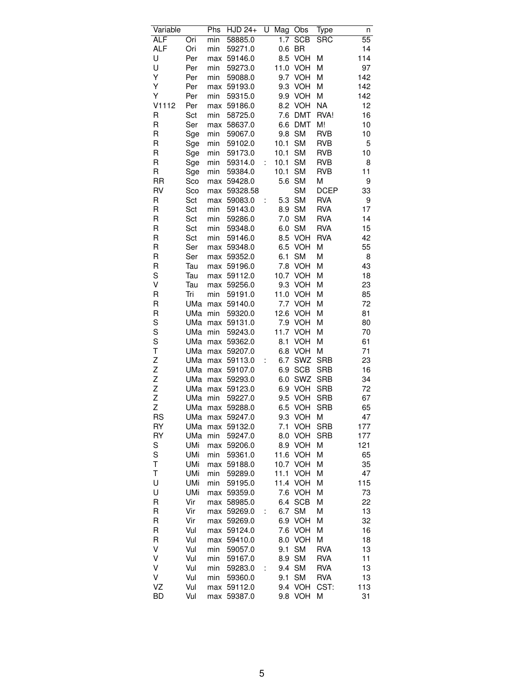| Variable   |            | $\overline{\mathsf{Ph}}$ s | HJD 24+  | U | Mag  | Obs        | Type        | n   |
|------------|------------|----------------------------|----------|---|------|------------|-------------|-----|
| <b>ALF</b> | Ori        | min                        | 58885.0  |   | 1.7  | <b>SCB</b> | <b>SRC</b>  | 55  |
| <b>ALF</b> | Ori        | min                        | 59271.0  |   | 0.6  | BR         |             | 14  |
| U          | Per        | max                        | 59146.0  |   | 8.5  | <b>VOH</b> | Μ           | 114 |
| U          | Per        | min                        | 59273.0  |   | 11.0 | <b>VOH</b> | Μ           | 97  |
| Υ          | Per        | min                        | 59088.0  |   | 9.7  | <b>VOH</b> | Μ           | 142 |
| Υ          | Per        | max                        | 59193.0  |   | 9.3  | <b>VOH</b> | Μ           | 142 |
| Υ          | Per        | min                        | 59315.0  |   | 9.9  | <b>VOH</b> | M           | 142 |
| V1112      | Per        | max                        | 59186.0  |   | 8.2  | <b>VOH</b> | <b>NA</b>   | 12  |
| R          | Sct        | min                        | 58725.0  |   | 7.6  | <b>DMT</b> | RVA!        | 16  |
| R          | Ser        |                            |          |   |      | <b>DMT</b> | M!          | 10  |
|            |            | max                        | 58637.0  |   | 6.6  |            |             |     |
| R          | Sge        | min                        | 59067.0  |   | 9.8  | <b>SM</b>  | <b>RVB</b>  | 10  |
| R          | Sge        | min                        | 59102.0  |   | 10.1 | <b>SM</b>  | <b>RVB</b>  | 5   |
| R          | Sge        | min                        | 59173.0  |   | 10.1 | <b>SM</b>  | <b>RVB</b>  | 10  |
| R          | Sge        | min                        | 59314.0  | t | 10.1 | <b>SM</b>  | <b>RVB</b>  | 8   |
| R          | Sge        | min                        | 59384.0  |   | 10.1 | <b>SM</b>  | <b>RVB</b>  | 11  |
| <b>RR</b>  | Sco        | max                        | 59428.0  |   | 5.6  | <b>SM</b>  | М           | 9   |
| RV         | Sco        | max                        | 59328.58 |   |      | <b>SM</b>  | <b>DCEP</b> | 33  |
| R          | Sct        | max                        | 59083.0  | İ | 5.3  | <b>SM</b>  | <b>RVA</b>  | 9   |
| R          | Sct        | min                        | 59143.0  |   | 8.9  | <b>SM</b>  | <b>RVA</b>  | 17  |
| R          | Sct        | min                        | 59286.0  |   | 7.0  | <b>SM</b>  | <b>RVA</b>  | 14  |
| R          | Sct        | min                        | 59348.0  |   | 6.0  | <b>SM</b>  | <b>RVA</b>  | 15  |
| R          | Sct        | min                        | 59146.0  |   | 8.5  | VOH        | <b>RVA</b>  | 42  |
| R          | Ser        | max                        | 59348.0  |   | 6.5  | <b>VOH</b> | M           | 55  |
| R          | Ser        | max                        | 59352.0  |   | 6.1  | <b>SM</b>  | Μ           | 8   |
| R          | Tau        | max                        | 59196.0  |   | 7.8  | <b>VOH</b> | М           | 43  |
| S          | Tau        | max                        | 59112.0  |   | 10.7 | <b>VOH</b> | Μ           | 18  |
| ٧          | Tau        | max                        | 59256.0  |   | 9.3  | <b>VOH</b> | Μ           | 23  |
| R          | Tri        | min                        | 59191.0  |   | 11.0 | <b>VOH</b> | M           | 85  |
| R          | UMa        | max                        | 59140.0  |   | 7.7  | <b>VOH</b> | М           | 72  |
| R          | UMa        | min                        | 59320.0  |   | 12.6 | <b>VOH</b> | М           | 81  |
| S          | UMa        | max                        | 59131.0  |   | 7.9  | <b>VOH</b> | М           | 80  |
| S          | UMa        | min                        | 59243.0  |   | 11.7 | <b>VOH</b> | Μ           | 70  |
| S          | UMa        | max                        | 59362.0  |   | 8.1  | <b>VOH</b> | Μ           | 61  |
| T          | UMa        | max                        | 59207.0  |   | 6.8  | <b>VOH</b> | M           | 71  |
| Z          | UMa        | max                        | 59113.0  | t | 6.7  | SWZ        | <b>SRB</b>  | 23  |
| Z          | UMa        | max                        | 59107.0  |   | 6.9  | <b>SCB</b> | <b>SRB</b>  | 16  |
| Z          | UMa        | max                        | 59293.0  |   | 6.0  | SWZ        | <b>SRB</b>  | 34  |
| Z          | UMa        | max                        | 59123.0  |   | 6.9  | VOH        | <b>SRB</b>  | 72  |
| Z          | UMa        | min                        | 59227.0  |   | 9.5  | VOH        | <b>SRB</b>  | 67  |
| Z          | UMa        | max                        | 59288.0  |   | 6.5  | <b>VOH</b> | <b>SRB</b>  | 65  |
| <b>RS</b>  | UMa        | max                        | 59247.0  |   |      | 9.3 VOH    | M           | 47  |
| RY         | UMa        | max                        | 59132.0  |   | 7.1  | VOH        | <b>SRB</b>  | 177 |
| RY         | UMa        | min                        | 59247.0  |   | 8.0  | <b>VOH</b> | <b>SRB</b>  | 177 |
| S          | UMi        | max                        | 59206.0  |   | 8.9  | <b>VOH</b> | М           | 121 |
| S          | UMi        | min                        | 59361.0  |   | 11.6 | <b>VOH</b> | М           | 65  |
| Т          | <b>UMi</b> | max                        | 59188.0  |   | 10.7 | <b>VOH</b> | M           | 35  |
| T          | UMi        | min                        | 59289.0  |   | 11.1 | <b>VOH</b> | М           | 47  |
| U          | UMi        |                            | 59195.0  |   | 11.4 | <b>VOH</b> | М           | 115 |
| U          |            | min                        |          |   |      |            |             |     |
|            | UMi        | max                        | 59359.0  |   | 7.6  | <b>VOH</b> | Μ           | 73  |
| R          | Vir        | max                        | 58985.0  |   | 6.4  | <b>SCB</b> | М           | 22  |
| R          | Vir        | max                        | 59269.0  | t | 6.7  | <b>SM</b>  | М           | 13  |
| R          | Vir        | max                        | 59269.0  |   | 6.9  | VOH        | Μ           | 32  |
| R          | Vul        | max                        | 59124.0  |   | 7.6  | <b>VOH</b> | М           | 16  |
| R          | Vul        | max                        | 59410.0  |   | 8.0  | <b>VOH</b> | Μ           | 18  |
| V          | Vul        | min                        | 59057.0  |   | 9.1  | <b>SM</b>  | <b>RVA</b>  | 13  |
| ٧          | Vul        | min                        | 59167.0  |   | 8.9  | <b>SM</b>  | <b>RVA</b>  | 11  |
| V          | Vul        | min                        | 59283.0  | t | 9.4  | <b>SM</b>  | <b>RVA</b>  | 13  |
| V          | Vul        | min                        | 59360.0  |   | 9.1  | <b>SM</b>  | RVA         | 13  |
| VZ         | Vul        | max                        | 59112.0  |   | 9.4  | <b>VOH</b> | CST:        | 113 |
| <b>BD</b>  | Vul        | max                        | 59387.0  |   | 9.8  | <b>VOH</b> | Μ           | 31  |